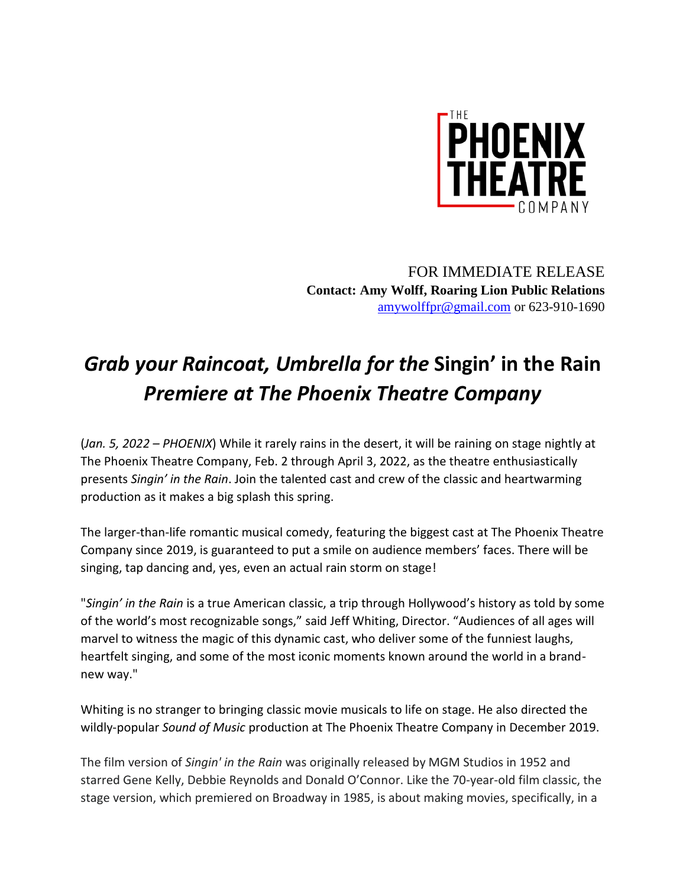

FOR IMMEDIATE RELEASE **Contact: Amy Wolff, Roaring Lion Public Relations** [amywolffpr@gmail.com](mailto:amywolffpr@gmail.com) or 623-910-1690

## *Grab your Raincoat, Umbrella for the* **Singin' in the Rain** *Premiere at The Phoenix Theatre Company*

(*Jan. 5, 2022 – PHOENIX*) While it rarely rains in the desert, it will be raining on stage nightly at The Phoenix Theatre Company, Feb. 2 through April 3, 2022, as the theatre enthusiastically presents *Singin' in the Rain*. Join the talented cast and crew of the classic and heartwarming production as it makes a big splash this spring.

The larger-than-life romantic musical comedy, featuring the biggest cast at The Phoenix Theatre Company since 2019, is guaranteed to put a smile on audience members' faces. There will be singing, tap dancing and, yes, even an actual rain storm on stage!

"*Singin' in the Rain* is a true American classic, a trip through Hollywood's history as told by some of the world's most recognizable songs," said Jeff Whiting, Director. "Audiences of all ages will marvel to witness the magic of this dynamic cast, who deliver some of the funniest laughs, heartfelt singing, and some of the most iconic moments known around the world in a brandnew way."

Whiting is no stranger to bringing classic movie musicals to life on stage. He also directed the wildly-popular *Sound of Music* production at The Phoenix Theatre Company in December 2019.

The film version of *Singin' in the Rain* was originally released by MGM Studios in 1952 and starred Gene Kelly, Debbie Reynolds and Donald O'Connor. Like the 70-year-old film classic, the stage version, which premiered on Broadway in 1985, is about making movies, specifically, in a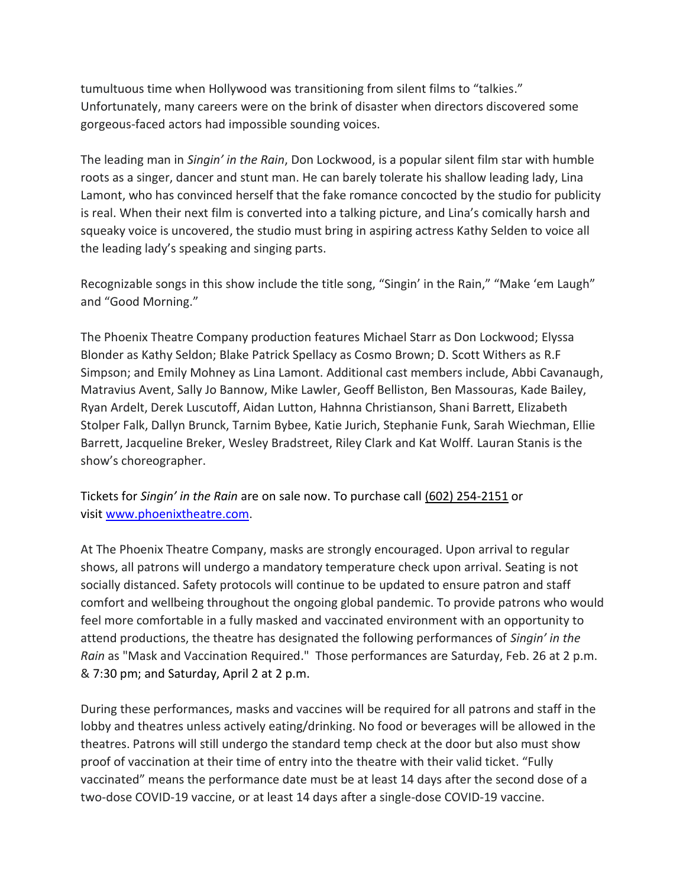tumultuous time when Hollywood was transitioning from silent films to "talkies." Unfortunately, many careers were on the brink of disaster when directors discovered some gorgeous-faced actors had impossible sounding voices.

The leading man in *Singin' in the Rain*, Don Lockwood, is a popular silent film star with humble roots as a singer, dancer and stunt man. He can barely tolerate his shallow leading lady, Lina Lamont, who has convinced herself that the fake romance concocted by the studio for publicity is real. When their next film is converted into a talking picture, and Lina's comically harsh and squeaky voice is uncovered, the studio must bring in aspiring actress Kathy Selden to voice all the leading lady's speaking and singing parts.

Recognizable songs in this show include the title song, "Singin' in the Rain," "Make 'em Laugh" and "Good Morning."

The Phoenix Theatre Company production features Michael Starr as Don Lockwood; Elyssa Blonder as Kathy Seldon; Blake Patrick Spellacy as Cosmo Brown; D. Scott Withers as R.F Simpson; and Emily Mohney as Lina Lamont. Additional cast members include, Abbi Cavanaugh, Matravius Avent, Sally Jo Bannow, Mike Lawler, Geoff Belliston, Ben Massouras, Kade Bailey, Ryan Ardelt, Derek Luscutoff, Aidan Lutton, Hahnna Christianson, Shani Barrett, Elizabeth Stolper Falk, Dallyn Brunck, Tarnim Bybee, Katie Jurich, Stephanie Funk, Sarah Wiechman, Ellie Barrett, Jacqueline Breker, Wesley Bradstreet, Riley Clark and Kat Wolff. Lauran Stanis is the show's choreographer.

Tickets for *Singin' in the Rain* are on sale now. To purchase call (602) 254-2151 or visit [www.phoenixtheatre.com.](https://urldefense.proofpoint.com/v2/url?u=https-3A__nam04.safelinks.protection.outlook.com_-3Furl-3Dhttps-253A-252F-252Furldefense.proofpoint.com-252Fv2-252Furl-253Fu-253Dhttp-2D3A-5F-5Fwww.phoenixtheatre.com-5F-2526d-253DDwMFaQ-2526c-253Duw6TLu4hwhHdiGJOgwcWD4AjKQx6zvFcGEsbfiY9-2DEI-2526r-253DeZMqQDp9ZQUI-2DOSDSomdL2TvAgrE-2DJddclE5m9ZjdwU-2526m-253DI1lt8Vw9-5FRWJi-5FBK-2DFGT6igIAnL-2DN5HUMWljflSQWww-2526s-253DmXWPyvO4jI-2DqjE1yODGYfsoKJcepAvvVOT7E-2DruSeuA-2526e-253D-26data-3D04-257C01-257CJOtoole-254012news.com-257Cd0cf4e866a304f02957808d952db46b2-257Cccd8a79b7268413b878971f8b6f4c0df-257C1-257C0-257C637631924004766814-257CUnknown-257CTWFpbGZsb3d8eyJWIjoiMC4wLjAwMDAiLCJQIjoiV2luMzIiLCJBTiI6Ik1haWwiLCJXVCI6Mn0-253D-257C1000-26sdata-3DsHuQpad8yuecgfu5eEWuAquBnZtzEeE4e63rTVHLtwE-253D-26reserved-3D0&d=DwMFAg&c=uw6TLu4hwhHdiGJOgwcWD4AjKQx6zvFcGEsbfiY9-EI&r=eZMqQDp9ZQUI-OSDSomdL143yV8MYoDJoFbj3Ru4Q4c&m=VXyAUMdRznhMF-fk0rM742ksTgLf954-drhWkDQBp69WURC-LWywQaqOZcSTU4t3&s=2oztGDgEgjWQE24vjv0WpCW1QOB6gLAETFhLUOdWJQk&e=)

At The Phoenix Theatre Company, masks are strongly encouraged. Upon arrival to regular shows, all patrons will undergo a mandatory temperature check upon arrival. Seating is not socially distanced. Safety protocols will continue to be updated to ensure patron and staff comfort and wellbeing throughout the ongoing global pandemic. To provide patrons who would feel more comfortable in a fully masked and vaccinated environment with an opportunity to attend productions, the theatre has designated the following performances of *Singin' in the Rain* as "Mask and Vaccination Required." Those performances are Saturday, Feb. 26 at 2 p.m. & 7:30 pm; and Saturday, April 2 at 2 p.m.

During these performances, masks and vaccines will be required for all patrons and staff in the lobby and theatres unless actively eating/drinking. No food or beverages will be allowed in the theatres. Patrons will still undergo the standard temp check at the door but also must show proof of vaccination at their time of entry into the theatre with their valid ticket. "Fully vaccinated" means the performance date must be at least 14 days after the second dose of a two-dose COVID-19 vaccine, or at least 14 days after a single-dose COVID-19 vaccine.